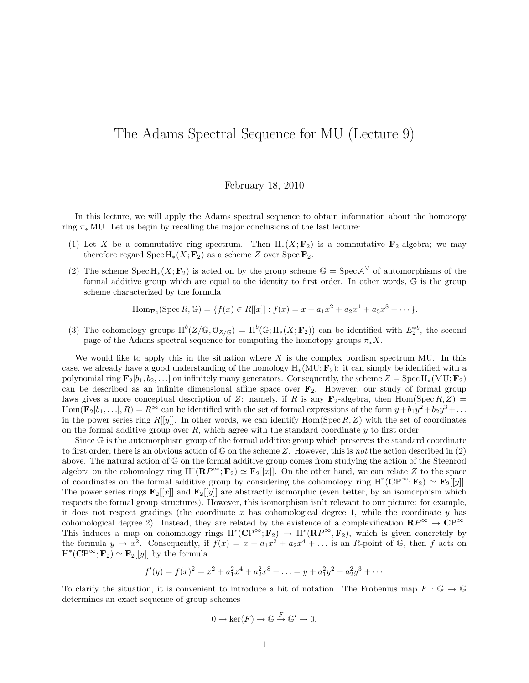## The Adams Spectral Sequence for MU (Lecture 9)

## February 18, 2010

In this lecture, we will apply the Adams spectral sequence to obtain information about the homotopy ring  $\pi_*$  MU. Let us begin by recalling the major conclusions of the last lecture:

- (1) Let X be a commutative ring spectrum. Then  $H_*(X; \mathbf{F}_2)$  is a commutative  $\mathbf{F}_2$ -algebra; we may therefore regard Spec H<sub>∗</sub>( $X$ ;  $\mathbf{F}_2$ ) as a scheme Z over Spec  $\mathbf{F}_2$ .
- (2) The scheme  $Spec H_*(X; \mathbf{F}_2)$  is acted on by the group scheme  $\mathbb{G} = Spec A^{\vee}$  of automorphisms of the formal additive group which are equal to the identity to first order. In other words, G is the group scheme characterized by the formula

Hom<sub>F<sub>2</sub></sub>(Spec *R*, 
$$
\mathbb{G}
$$
) = { $f(x) \in R[[x]] : f(x) = x + a_1x^2 + a_2x^4 + a_3x^8 + \cdots$  }.

(3) The cohomology groups  $H^b(Z/\mathbb{G}, \mathbb{O}_{Z/\mathbb{G}}) = H^b(\mathbb{G}; H_*(X; \mathbf{F}_2))$  can be identified with  $E_2^{*b}$ , the second page of the Adams spectral sequence for computing the homotopy groups  $\pi_* X$ .

We would like to apply this in the situation where  $X$  is the complex bordism spectrum MU. In this case, we already have a good understanding of the homology  $H_*(MU; \mathbf{F}_2)$ : it can simply be identified with a polynomial ring  $\mathbf{F}_2[b_1, b_2, \ldots]$  on infinitely many generators. Consequently, the scheme  $Z = \text{Spec } H_*(MU; \mathbf{F}_2)$ can be described as an infinite dimensional affine space over  $\mathbf{F}_2$ . However, our study of formal group laws gives a more conceptual description of Z: namely, if R is any  $\mathbf{F}_2$ -algebra, then Hom(Spec R, Z) =  $\text{Hom}(\mathbf{F}_2[b_1,\ldots],R) = R^{\infty}$  can be identified with the set of formal expressions of the form  $y+b_1y^2+b_2y^3+\ldots$ in the power series ring  $R[[y]]$ . In other words, we can identify  $Hom(Spec R, Z)$  with the set of coordinates on the formal additive group over R, which agree with the standard coordinate  $\eta$  to first order.

Since G is the automorphism group of the formal additive group which preserves the standard coordinate to first order, there is an obvious action of  $\mathbb G$  on the scheme Z. However, this is not the action described in (2) above. The natural action of G on the formal additive group comes from studying the action of the Steenrod algebra on the cohomology ring  $H^*(RP^{\infty}; F_2) \simeq F_2[[x]]$ . On the other hand, we can relate Z to the space of coordinates on the formal additive group by considering the cohomology ring  $H^*(\mathbb{CP}^\infty; \mathbf{F}_2) \simeq \mathbf{F}_2[[y]].$ The power series rings  $\mathbf{F}_2[[x]]$  and  $\mathbf{F}_2[[y]]$  are abstractly isomorphic (even better, by an isomorphism which respects the formal group structures). However, this isomorphism isn't relevant to our picture: for example, it does not respect gradings (the coordinate  $x$  has cohomological degree 1, while the coordinate  $y$  has cohomological degree 2). Instead, they are related by the existence of a complexification  $\mathbb{R}P^{\infty} \to \mathbb{C}P^{\infty}$ . This induces a map on cohomology rings  $H^*(\mathbb{CP}^\infty; \mathbf{F}_2) \to H^*(\mathbb{RP}^\infty, \mathbf{F}_2)$ , which is given concretely by the formula  $y \mapsto x^2$ . Consequently, if  $f(x) = x + a_1x^2 + a_2x^4 + \dots$  is an R-point of G, then f acts on  $H^*(\mathbf{CP}^\infty; \mathbf{F}_2) \simeq \mathbf{F}_2[[y]]$  by the formula

$$
f'(y) = f(x)^2 = x^2 + a_1^2 x^4 + a_2^2 x^8 + \dots = y + a_1^2 y^2 + a_2^2 y^3 + \dots
$$

To clarify the situation, it is convenient to introduce a bit of notation. The Frobenius map  $F : \mathbb{G} \to \mathbb{G}$ determines an exact sequence of group schemes

$$
0 \to \ker(F) \to \mathbb{G} \xrightarrow{F} \mathbb{G}' \to 0.
$$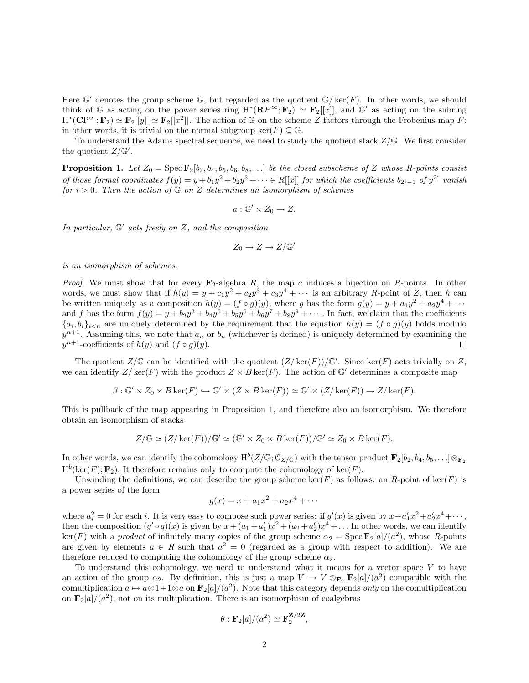Here G' denotes the group scheme G, but regarded as the quotient  $\mathbb{G}/\ker(F)$ . In other words, we should think of G as acting on the power series ring  $H^*(RP^\infty; F_2) \simeq F_2[[x]]$ , and  $G'$  as acting on the subring  $H^*(\mathbf{CP}^\infty; \mathbf{F}_2) \simeq \mathbf{F}_2[[y]] \simeq \mathbf{F}_2[[x^2]]$ . The action of G on the scheme Z factors through the Frobenius map F: in other words, it is trivial on the normal subgroup ker(F)  $\subset \mathbb{G}$ .

To understand the Adams spectral sequence, we need to study the quotient stack  $Z/\mathbb{G}$ . We first consider the quotient  $Z/\mathbb{G}'$ .

**Proposition 1.** Let  $Z_0 = \text{Spec } \mathbf{F}_2[b_2, b_4, b_5, b_6, b_8, \ldots]$  be the closed subscheme of Z whose R-points consist of those formal coordinates  $f(y) = y + b_1y^2 + b_2y^3 + \cdots \in R[[x]]$  for which the coefficients  $b_{2^i-1}$  of  $y^{2^i}$  vanish for  $i > 0$ . Then the action of  $\mathbb{G}$  on Z determines an isomorphism of schemes

$$
a:\mathbb{G}'\times Z_0\to Z.
$$

In particular,  $\mathbb{G}'$  acts freely on Z, and the composition

$$
Z_0 \to Z \to Z/\mathbb{G}'
$$

is an isomorphism of schemes.

*Proof.* We must show that for every  $\mathbf{F}_2$ -algebra R, the map a induces a bijection on R-points. In other words, we must show that if  $h(y) = y + c_1y^2 + c_2y^3 + c_3y^4 + \cdots$  is an arbitrary R-point of Z, then h can be written uniquely as a composition  $h(y) = (f \circ g)(y)$ , where g has the form  $g(y) = y + a_1y^2 + a_2y^4 + \cdots$ and f has the form  $f(y) = y + b_2y^3 + b_4y^5 + b_5y^6 + b_6y^7 + b_8y^9 + \cdots$ . In fact, we claim that the coefficients  ${a_i, b_i}_{i \leq n}$  are uniquely determined by the requirement that the equation  $h(y) = (f \circ g)(y)$  holds modulo  $y^{n+1}$ . Assuming this, we note that  $a_n$  or  $b_n$  (whichever is defined) is uniquely determined by examining the  $y^{n+1}$ -coefficients of  $h(y)$  and  $(f \circ g)(y)$ .  $\Box$ 

The quotient  $Z/\mathbb{G}$  can be identified with the quotient  $(Z/\ker(F))/\mathbb{G}'$ . Since ker(F) acts trivially on Z, we can identify  $Z/\text{ker}(F)$  with the product  $Z \times B \text{ker}(F)$ . The action of  $\mathbb{G}'$  determines a composite map

$$
\beta: \mathbb{G}' \times Z_0 \times B \ker(F) \hookrightarrow \mathbb{G}' \times (Z \times B \ker(F)) \simeq \mathbb{G}' \times (Z/\ker(F)) \to Z/\ker(F).
$$

This is pullback of the map appearing in Proposition 1, and therefore also an isomorphism. We therefore obtain an isomorphism of stacks

$$
Z/\mathbb{G} \simeq (Z/\ker(F))/\mathbb{G}' \simeq (\mathbb{G}' \times Z_0 \times B \ker(F))/\mathbb{G}' \simeq Z_0 \times B \ker(F).
$$

In other words, we can identify the cohomology  $\text{H}^b(Z/\mathbb{G};\mathbb{O}_{Z/\mathbb{G}})$  with the tensor product  $\mathbf{F}_2[b_2,b_4,b_5,\ldots]\otimes_{\mathbf{F}_2}$  $H^b(\ker(F); \mathbf{F}_2)$ . It therefore remains only to compute the cohomology of  $ker(F)$ .

Unwinding the definitions, we can describe the group scheme  $\ker(F)$  as follows: an R-point of  $\ker(F)$  is a power series of the form

$$
g(x) = x + a_1 x^2 + a_2 x^4 + \cdots
$$

where  $a_i^2 = 0$  for each i. It is very easy to compose such power series: if  $g'(x)$  is given by  $x + a'_1 x^2 + a'_2 x^4 + \cdots$ , then the composition  $(g' \circ g)(x)$  is given by  $x + (a_1 + a'_1)x^2 + (a_2 + a'_2)x^4 + \dots$  In other words, we can identify  $\ker(F)$  with a *product* of infinitely many copies of the group scheme  $\alpha_2 = \operatorname{Spec} \mathbf{F}_2[a]/(a^2)$ , whose R-points are given by elements  $a \in R$  such that  $a^2 = 0$  (regarded as a group with respect to addition). We are therefore reduced to computing the cohomology of the group scheme  $\alpha_2$ .

To understand this cohomology, we need to understand what it means for a vector space V to have an action of the group  $\alpha_2$ . By definition, this is just a map  $V \to V \otimes_{\mathbf{F}_2} \mathbf{F}_2[a]/(a^2)$  compatible with the comultiplication  $a \mapsto a \otimes 1+1\otimes a$  on  $\mathbf{F}_2[a]/(a^2)$ . Note that this category depends *only* on the comultiplication on  $\mathbf{F}_2[a]/(a^2)$ , not on its multiplication. There is an isomorphism of coalgebras

$$
\theta : \mathbf{F}_2[a]/(a^2) \simeq \mathbf{F}_2^{\mathbf{Z}/2\mathbf{Z}},
$$